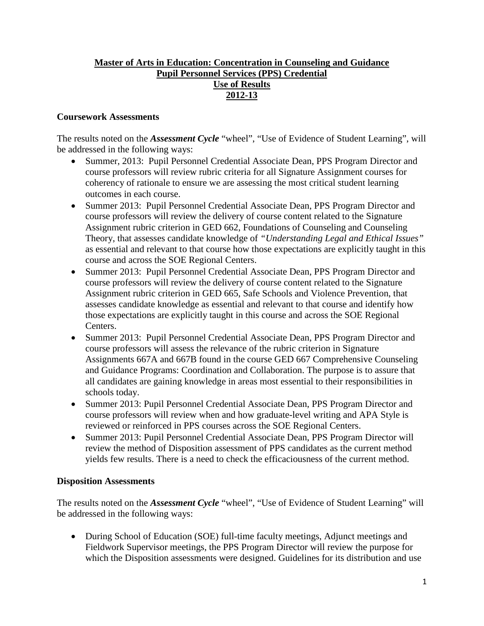## **Master of Arts in Education: Concentration in Counseling and Guidance Pupil Personnel Services (PPS) Credential Use of Results 2012-13**

## **Coursework Assessments**

The results noted on the *Assessment Cycle* "wheel", "Use of Evidence of Student Learning", will be addressed in the following ways:

- Summer, 2013: Pupil Personnel Credential Associate Dean, PPS Program Director and course professors will review rubric criteria for all Signature Assignment courses for coherency of rationale to ensure we are assessing the most critical student learning outcomes in each course.
- Summer 2013: Pupil Personnel Credential Associate Dean, PPS Program Director and course professors will review the delivery of course content related to the Signature Assignment rubric criterion in GED 662, Foundations of Counseling and Counseling Theory, that assesses candidate knowledge of *"Understanding Legal and Ethical Issues"* as essential and relevant to that course how those expectations are explicitly taught in this course and across the SOE Regional Centers.
- Summer 2013: Pupil Personnel Credential Associate Dean, PPS Program Director and course professors will review the delivery of course content related to the Signature Assignment rubric criterion in GED 665, Safe Schools and Violence Prevention, that assesses candidate knowledge as essential and relevant to that course and identify how those expectations are explicitly taught in this course and across the SOE Regional Centers.
- Summer 2013: Pupil Personnel Credential Associate Dean, PPS Program Director and course professors will assess the relevance of the rubric criterion in Signature Assignments 667A and 667B found in the course GED 667 Comprehensive Counseling and Guidance Programs: Coordination and Collaboration. The purpose is to assure that all candidates are gaining knowledge in areas most essential to their responsibilities in schools today.
- Summer 2013: Pupil Personnel Credential Associate Dean, PPS Program Director and course professors will review when and how graduate-level writing and APA Style is reviewed or reinforced in PPS courses across the SOE Regional Centers.
- Summer 2013: Pupil Personnel Credential Associate Dean, PPS Program Director will review the method of Disposition assessment of PPS candidates as the current method yields few results. There is a need to check the efficaciousness of the current method.

## **Disposition Assessments**

The results noted on the *Assessment Cycle* "wheel", "Use of Evidence of Student Learning" will be addressed in the following ways:

• During School of Education (SOE) full-time faculty meetings, Adjunct meetings and Fieldwork Supervisor meetings, the PPS Program Director will review the purpose for which the Disposition assessments were designed. Guidelines for its distribution and use